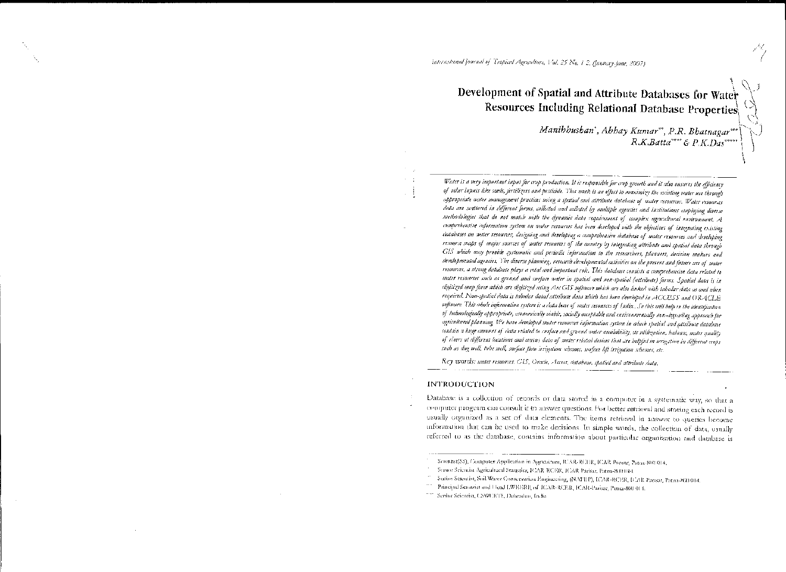# Development of Spatial and Attribute Databases for Water Resources Including Relational Database Properties

Manibhushan', Abhay Kumar'', P.R. Bhatnagar'''<br>R.K.Batta''''' & P.K.Das

Water is a very important input for crop production. It is responsible for crop growth and it also ensures the efficiency of other inputs like seeds, fertilizers and pesticide. This work is an effort to maximize the existing water use through appropriate water management practices using a spatial and attribute database of water resources. Water resources data are scattered in different forms, collected and collated by multiple agencies and institutions employing diverse methodologies that do not match with the dynamic hata requirement of complex agricultural environment. A comprehensive information system on water resources has been developed with the objectives of integrating existing databases on mater resources, designing and developing a comprehensive database of mater resources and developing resource maps of major sources of water resources of the country by integrating attribute and spatial data through GIS which may provide systematic and periodic information to the researchers, planuers, decision makers and developmental agencies. The diverse planning, research developmental activities on the present and future use of water reconvex, a strong database plays a vital and important role. This database consists a comprehensive data related to water resources such as ground and surface water in spatial and non-spatial (attribute) forms. Spatial data is in digitized map form which are digitized using Arc GIS suftware which are also linked with tabular duta as and when required. Non-spatial data is tubular data/attribute data which has been developed in ACCESS and ORACLE saftware. This whole information system is a data base of water resources of (udia.. So this will belp in the identification of technologically appropriate, economically viable, socially occeptable and environmentally non-degrading approach for agricultural planning. We have developed water resources information system in which spatial and attribute database contain a huge amount of data related to surface and ground water availability, its utilization, halance, water quality of rivers at different locations and consus data of water related devices that are belpful in irrigation in different crops such as due well, tabe well, surface flow irrigation schemes, surface lift irrigation schemes, etc.

Key words: water resources, GIS, Oracle, Access, database, spatial and attribute data.

#### INTRODUCTION

Database is a collection of records or data stored in a computer in a systematic way, so that a computer program can consult it to answer questions. For better retrieval and storing each record is usually organized as a set of data elements. The items retrieval in answer to queries become information that can be used to make decisions. In simple words, the collection of data, usually referred to as the database, contains information about particular organization and database is

Scientist(SS), Compater Application in Agriculture, ICAR-RCER, ICAR Paesac, Patmi-800 014,

Senior Scientist Agricultural Statistics, ICAR RCER, ICAR Parisar, Parna-800 (114).

Senior Setentist, Still Water Conservation Engineering, (NAFRP), ICAR-RCEER, ICAR Parisar, Patna-800 014.

Principal Sesentist and Head LWHERP, of HEAR-RCER, ICAR-Parisac, Patna-860-014.

Senine Scientist, USWCRTI, Dehradun, India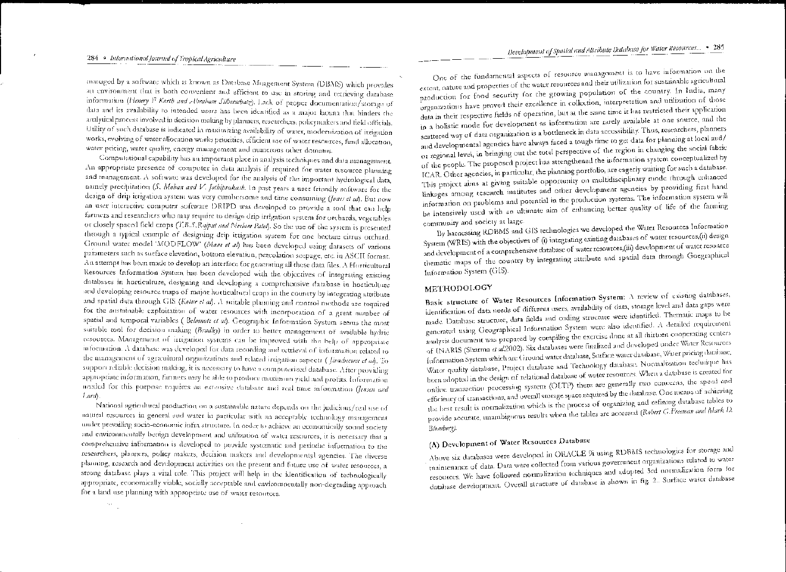managed by a software which is known as Database Mnagement System (DBMS) which provides an environment that is both convenient and efficient to use in storing and tetrieving database information (Henery F Karth and Abraham Silberschatz). Lack of proper documentation/storage of data and its availability to intended users has been identified as a major facuna that hinders the aualytical process involved in decision making by planners, researchers, policymakers and field officials. Utility of such database is indicated in maximizing availability of water, modernization of itrigation works, evolving of water allocation works priorities, efficient use of water resources, fund allocation, water pricing, water quality, energy management and numerous other domains.

Computational capability has an important place in analysis techniques and data management. An appropriate presence of computer in data analysis if required for water resource planning and management. A softwate was developed for the analysis of the important hydrological data, namely precipitation (S. Mohan and V. Jothiprakaub, In past years a user friendly software for the design of drip irrigation system was very cumbersome and time consuming (foner et al). But now an user interactive computer software DRIPD was developed to provide a tool that can help farmers and researchers who may require to design drip irrigation system for orchards, vegetables or closely spaced field crops (T.B.J.Rajput and Neelam Patel). So the use of the system is presented through a typical example of designing drip irtigation system for one hectare citrus orchard. Ground water model 'MODFLOW' (Mant et al) has been developed using datasets of various parameters such as surface elevation, bottom elevation, percolation scepage, etc. in ASCII format. An attempt has been made to develop an interface for generating all these data files. A Horticultural Resources Information System has been developed with the objectives of integrating existing databases in horticulture, designing and developing a comprehensive database in horticulture and developing resource maps of major horticultural crops in the country by integrating attribute and spatial data through GIS (Kotur et al). A suitable planning and control methods are tequired for the sustainable exploitation of water resources with incorporation of a great number of spatial and temporal variables (Belmnote et al). Geographic Information System seems the most suitable tool for decision making (Bradley) in order to better management of available hydric resources. Management of irrigation systems can be improved with the help of appropriate information. A database was developed for data recording and retrieval of information related to the management of agreeultural organizations and related irrigation ospects (*Jirachenee et al*). To support reliable decision making, it is necessary to have a computerized database. After providing appropriate information, farmers may be able to produce maximum yield and profits. Information needed for this purpose tequires an extensive database and real time information (Jensen and Lord).

National agricultural production on a sustainable nature depends on the judicious/real use of natural resources in general and water in particular with an acceptable technology management under prevailing socio-economic infra structure. In order to achieve an economically sound society and environmentally benign development and utilization of water resources, it is necessary that a comprehensive information is developed to provide systematic and periodic information to the researchers, plauners, policy makers, decision makers and developmental agencies. The diverse planning, research and development activities on the present and future use of water resources, a strong database plays a vital role. This project will help in the identification of technologically appropriate, economically viable, socially acceptable and environmentally non-degrading approach for a land use planning with appropriate use of water resources.

 $\epsilon_{\rm 2.5}$ 

One of the fundamental aspects of resource management is to have information on the extent, nature and properties of the water resources and their utilization for sustainable agricultural production for food security for the growing population of the country. In India, many organizations have proved their excellence in collection, interpretation and utilization of those data in their respective fields of operation, but at the same time it has restricted their application in a holistic mode for development as information are rarely available at one source, and the scattered way of data organization is a bottleneck in data accessibility. Thus, researchers, planners and developmental agencies have always faced a tough time to get data for planning at local and/ or regional level, in bringing out the total perspective of the region in changing the social fabric of the people. The proposed project has strengthened the information system conceptualized by ICAR. Other agencies, in particular, the planning portfolio, are cagerly waiting for such a database. This project aims at giving suitable opportunity on multidisciplinary mode through enhanced linkages among research institutes and other development agencies by providing first hand information on problems and potential in the production systems. The information system will be intensively used with an ultimate aim of enhancing better quality of life of the farming community and society at large.

By harnessing RDBMS and GIS technologies we developed the Water Resources Information System (WRIS) with the objectives of (i) integrating existing databases of water resources, (ii) design and development of a comprehensive database of water resources, (iii) development of water resource thematic maps of the country by integrating attribute and spatial data through Goegraphical Information System (GIS).

#### METHODOLOGY

Basic structure of Water Resources Information System: A review of existing databases, identification of data needs of different users, availability of data, storage level and data gaps were made. Database structure, data fields and coding structure were identified. Thematic maps to be generated using Geographical Information System were also identified. A detailed requirement analysis document was prepared by compiling the exercise done at all thirteen cooperating centers of INARIS (Sharma et al.2002). Six databases were finalized and developed under Water Resources Information System which are Ground water database. Surface water database, Water pricing database, Water quality database, Project database and Technology database. Normalization technique has been adopted in the design of relational database of water resources. When a database is created for online transaction processing system (OLTP) there are generally two concerns, the speed and efficiency of transactions, and overall storage space required by the database. One means of achieving the best result is normalization which is the process of organizing and refining database tables to provide accurate, unambiguous results when the tables are accessed (Rabert G. Freeman and Mark D. Blomberg).

## (A) Development of Water Resources Database

Above six databases were developed in ORACLE 9i using RDBMS (echnologies for storage and maintenance of data. Data were collected from various government organizations related to water resources. We have followed normalization techniques and adopted 3rd normalization form for database development. Overall structure of database is shown in fig. 2.. Surface water database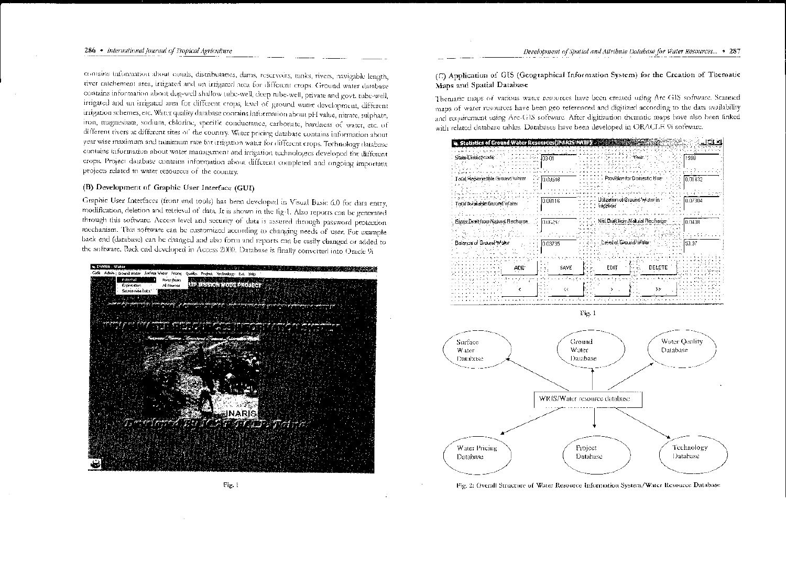comains information about circals, distributancs, dams, reservoirs, tanks, rivers, navigable length, river catchement area, irrigated and un irrigated area for different crops. Ground water database contains information about dug-well shallow tube-well, deep rube-well, private and govt. tube-well, irrigated and un irrigated area for different crops, level of ground water development, different irrigation schemes, etc. Water quality database contains information about pH value, nitrate, sulphate, iron, magnesium, sodium, chlorine, specific conductance, carbonate, hardness of water, etc. of different rivers at different sites of the country. Water pricing database contains information about year wise maximum and nunimum rate for irrigation water for different crops. Technology database comains information about water management and irrigation technologies developed for different crops. Project database contains information about different completed and ongoing important projects related to water resources of the country.

#### (B) Development of Graphic User Interface (GUI)

Graphic User Interfaces (front end tools) has been developed in Visual Basic 6.0 for data entry, modification, deletion and retrieval of data. It is shown in the fig-1. Also reports can be generated through this software. Access level and security of data is assured through password protection mechanism. This software can be customized according to changing needs of user. For example back end (database) can be changed and also form and reports can be easily changed or added to the software. Back end developed in Access 2000. Database is finally converted into Oracle 9i



(C) Application of GIS (Geographical Information System) for the Creation of Thematic Maps and Spatial Database

Thematic maps of various water resources have been created using Arc-GIS software. Scanned maps of water resources have been geo referenced and digitized according to the data availability and requirement using Arc-GIS software. After digitization thematic maps have also been finked with related database cables. Databases have been developed in ORACLE 9i software.







Fig. 2: Overall Structure of Water Resource Information System/Water Resource Database

Fig. 1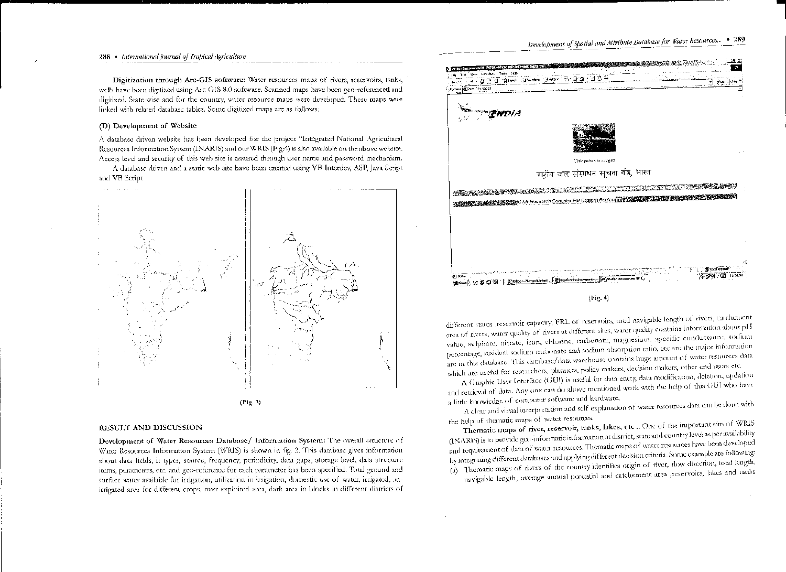#### 288 • International Journal of Tropical Agriculture

Digitization through Arc-GIS software: Water resources maps of tivers, reservoirs, tanks, wells have been digitized using Arc GIS 8.0 software. Scanned maps have been geo-referenced and digitized. State wise and for the country, water resource maps were developed. These maps were linked with related database tables. Some digitized maps are as follows:

#### (D) Development of Website

A database driven website has been developed for the project "Integrated National Agricultural Resources Information System (INARIS) and our WRIS (Fig.4) is also available on the above website. Access level and security of this web site is assured through user name and password mechanism.

A database driven and a static web site have been created using VB Interdey, ASP, Java Script. and VB Script



RESULT AND DISCUSSION

Development of Water Resources Database/ Information System: The overall structure of Water Resources Information System (WRIS) is shown in fig. 2. This database gives information about data fields, it types, source, frequency, periodicity, data gaps, storage level, data structure items, parameters, etc. and geo-reference for each parameter has been specified. Total ground and surface water available for irrigation, utilization in irrigation, domestic use of water, irrigated, unirrigated area for different crops, over exploited area, dark area in blocks in different districts of



different states reservoir capacity, FRL of reservoirs, total navigable length of rivers, catchetuent area of rivers, water quality of rivers at different sites, water quality contains information about pH value, sulphate, nitrate, iron, chlorine, carbonate, magnesium, specific conductance, sodium percentage, residual sodium carbonate and sodium absorption ratio, etc are the major information are in this database. This database/data warehouse contains huge amount of water resources data which are useful for researchers, planners, policy makers, decision makers, other end users etc.

A Graphic User Interface (GUI) is useful for data entry, data modification, deletion, updation and retrieval of data. Any one can do above mentioned work with the help of this GUI who have a little knowledge of computer software and hardware.

A clear and visual interpretation and self-explanation of water tesources data can be done with the help of thematic maps of water resources.

Thematic maps of river, reservoir, tanks, lakes, etc.: One of the important aim of WRIS (INARIS) is to provide gco-informatic information at district, state and country level as per availability and requirement of data of water resources. Thematic maps of water resources have been developed by integrating different databases and applying different decision criteria. Some example are following: (a) Thematic maps of rivers of the country identifies origin of river, flow direction, total length, navigable length, average annual potential and catchement area ,reservoirs, lakes and tanks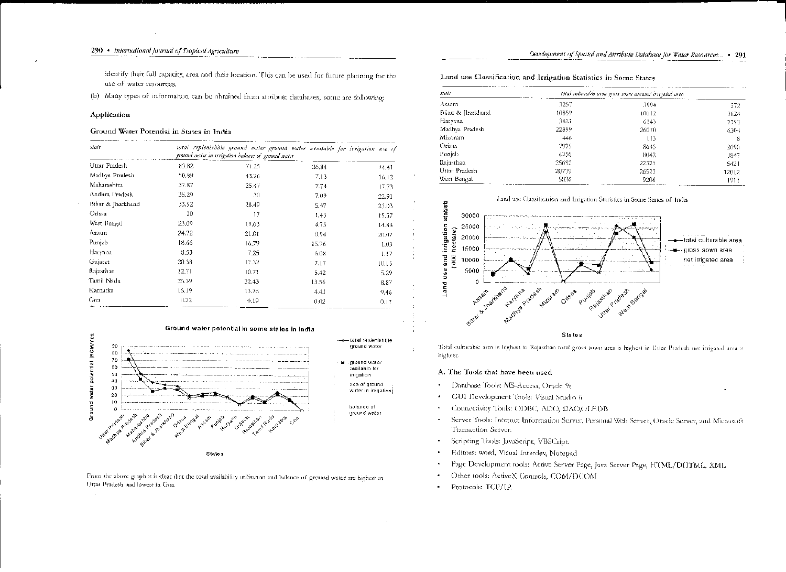identify their full capacity, area and their location. This can be used for future planning for the use of water resources.

(b) Many types of information can be obtained from attribute databases, some are following:

#### Application

#### Ground Water Potential in States in India

| state             | total replenishble grannd unter grannd water avoilable for irrigation use of<br>ground water in trrigation balance of ground water |       |       |       |  |
|-------------------|------------------------------------------------------------------------------------------------------------------------------------|-------|-------|-------|--|
| Uttar Pradesh     | 83.82                                                                                                                              | 71.25 | 26.84 | 44.41 |  |
| Madhya Pradesh    | 50,89                                                                                                                              | 43.26 | 7.13  | 36.12 |  |
| Maharashtra       | 37.87                                                                                                                              | 25.47 | 7.74  | 17.73 |  |
| Andhra Pradesh    | 35.29                                                                                                                              | 30    | 7.09  | 22.91 |  |
| Bihar & Jharkhand | 33.52                                                                                                                              | 28,49 | 5.47  | 23.03 |  |
| Orissa.           | 20                                                                                                                                 | 17    | 1,43  | t5.57 |  |
| West Bengal       | 23.09                                                                                                                              | 19.63 | 4.75  | 14.88 |  |
| Assam             | 24.72                                                                                                                              | 21.01 | 0.94  | 20.07 |  |
| Punjab            | 18.66                                                                                                                              | 16,79 | 15.76 | 1.03  |  |
| Натуана           | 8.53                                                                                                                               | 7.25  | 6.08  | 1.17  |  |
| Gujarat           | 20.38                                                                                                                              | 17.32 | 7.17  | 10.15 |  |
| Rajasthan         | 12.71                                                                                                                              | 10.71 | 5.42  | 5.29  |  |
| Tamil Nadu        | 26.39                                                                                                                              | 22.43 | 13.56 | 8.87  |  |
| Karnatka          | 16.19                                                                                                                              | 13.76 | 4.4   | 9,46  |  |
| Goa               | H.22.                                                                                                                              | 41.19 | 0.02  | 0.17  |  |



From the above graph it is clear that the total availability utilisation and balance of ground water are highest in Uttar Pradesh and lowest in Goa.

Land use Classification and Irrigation Statistics in Some States

| stale            | total culturable area gross sown areanet irregated area |       |       |
|------------------|---------------------------------------------------------|-------|-------|
| Assam            | 3257                                                    | 3994  | 572   |
| Bünt & Jharkhand | 10859                                                   | 10012 | 3624  |
| Haryana          | 3821                                                    | 6143  | 2793  |
| Madhya Pradesh   | 22899                                                   | 26070 | 6304  |
| Mizoram          | $+46$                                                   | 113   | 8     |
| Orissa           | 7975                                                    | 8645  | 2090  |
| Punjab           | 4250                                                    | 8042  | 3847  |
| Rajasthan        | 25692                                                   | 22325 | 5421  |
| Uttar Pradesh    | 20739                                                   | 26522 | 12012 |
| West Bengal      | 5836                                                    | 9208  | 1911  |



Total culturable area is highest in Rajasthan total gross sown area is highest in Uttar Pradesh net irrigated area is highest.

#### A. The Tools that have been used

- Database Tools: MS-Access, Oracle 9i
- GUI Development Tools: Visual Studio 6
- Connectivity Tools: ODBC, ADO, DAO,OLEDB
- Server Tools: Internet Information Server, Personal Web Server, Oracle Server, and Microsoft Transaction Server.
- Scripting Tools: JavaScript, VBSCript.
- Editors: word, Visual Interdev, Notepad
- Page Development rools: Active Server Page, Java Server Page, HTML/DHTML, XML
- Other tools: ActiveX Controls, COM/DCOM
- Protocols: TCP/IP.